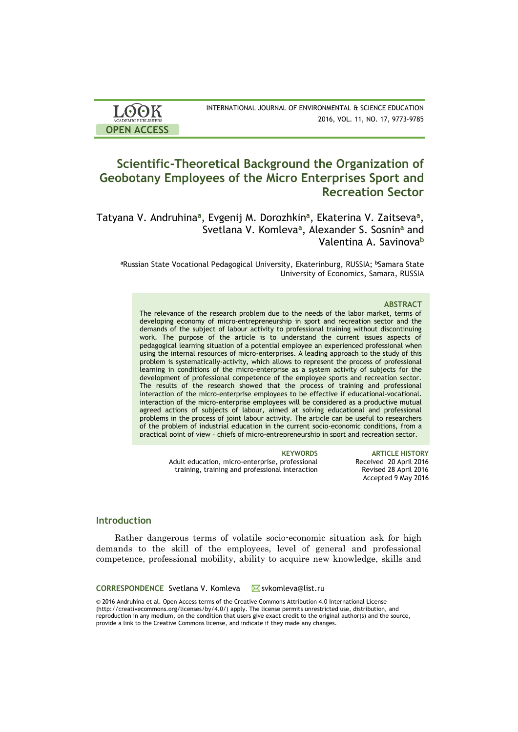| <b>LOOK</b>                | INTERNATIONAL JOURNAL OF ENVIRONMENTAL & SCIENCE EDUCATION |
|----------------------------|------------------------------------------------------------|
| <b>ACADEMIC PUBLISHERS</b> | 2016, VOL. 11, NO. 17, 9773-9785                           |
| <b>OPEN ACCESS</b>         |                                                            |

# **Scientific-Theoretical Background the Organization of Geobotany Employees of the Micro Enterprises Sport and Recreation Sector**

Tatyana V. Andruhina**<sup>a</sup>** , Evgenij M. Dorozhkin**<sup>a</sup>** , Ekaterina V. Zaitseva**<sup>a</sup>** , Svetlana V. Komleva**<sup>a</sup>** , Alexander S. Sosnin**<sup>a</sup>** and Valentina A. Savinova**<sup>b</sup>**

**<sup>a</sup>**Russian State Vocational Pedagogical University, Ekaterinburg, RUSSIA; **<sup>b</sup>**Samara State University of Economics, Samara, RUSSIA

### **ABSTRACT**

The relevance of the research problem due to the needs of the labor market, terms of developing economy of micro-entrepreneurship in sport and recreation sector and the demands of the subject of labour activity to professional training without discontinuing work. The purpose of the article is to understand the current issues aspects of pedagogical learning situation of a potential employee an experienced professional when using the internal resources of micro-enterprises. A leading approach to the study of this problem is systematically-activity, which allows to represent the process of professional learning in conditions of the micro-enterprise as a system activity of subjects for the development of professional competence of the employee sports and recreation sector. The results of the research showed that the process of training and professional interaction of the micro-enterprise employees to be effective if educational-vocational. interaction of the micro-enterprise employees will be considered as a productive mutual agreed actions of subjects of labour, aimed at solving educational and professional problems in the process of joint labour activity. The article can be useful to researchers of the problem of industrial education in the current socio-economic conditions, from a practical point of view – chiefs of micro-entrepreneurship in sport and recreation sector.

> Adult education, micro-enterprise, professional training, training and professional interaction

**KEYWORDS ARTICLE HISTORY** Received 20 April 2016 Revised 28 April 2016 Accepted 9 May 2016

# **Introduction**

Rather dangerous terms of volatile socio-economic situation ask for high demands to the skill of the employees, level of general and professional competence, professional mobility, ability to acquire new knowledge, skills and

### **CORRESPONDENCE** Svetlana V. Komleva Msvkomleva@list.ru

© 2016 Andruhina et al. Open Access terms of the Creative Commons Attribution 4.0 International License (http://creativecommons.org/licenses/by/4.0/) apply. The license permits unrestricted use, distribution, and reproduction in any medium, on the condition that users give exact credit to the original author(s) and the source, provide a link to the Creative Commons license, and indicate if they made any changes.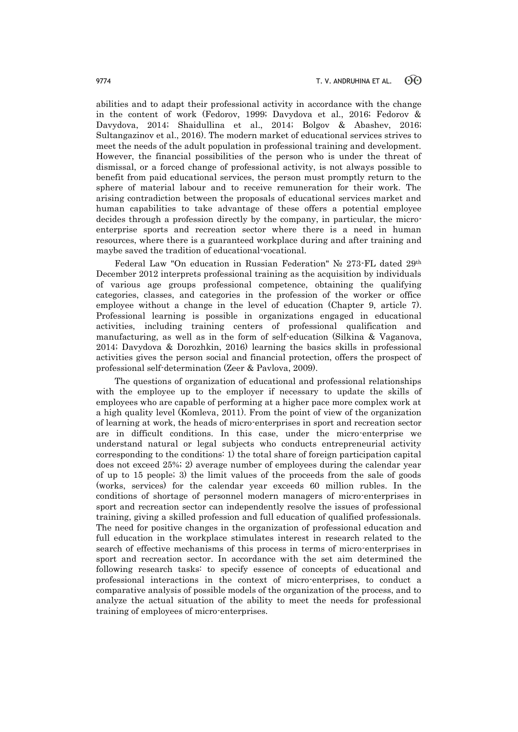abilities and to adapt their professional activity in accordance with the change in the content of work (Fedorov, 1999; Davydova et al., 2016; Fedorov & Davydova, 2014; Shaidullina et al., 2014; Bolgov & Abashev, 2016; Sultangazinov et al., 2016). The modern market of educational services strives to meet the needs of the adult population in professional training and development. However, the financial possibilities of the person who is under the threat of dismissal, or a forced change of professional activity, is not always possible to benefit from paid educational services, the person must promptly return to the sphere of material labour and to receive remuneration for their work. The arising contradiction between the proposals of educational services market and human capabilities to take advantage of these offers a potential employee decides through a profession directly by the company, in particular, the microenterprise sports and recreation sector where there is a need in human resources, where there is a guaranteed workplace during and after training and maybe saved the tradition of educational-vocational.

Federal Law "On education in Russian Federation" № 273-FL dated 29th December 2012 interprets professional training as the acquisition by individuals of various age groups professional competence, obtaining the qualifying categories, classes, and categories in the profession of the worker or office employee without a change in the level of education (Chapter 9, article 7). Professional learning is possible in organizations engaged in educational activities, including training centers of professional qualification and manufacturing, as well as in the form of self-education (Silkina & Vaganova, 2014; Davydova & Dorozhkin, 2016) learning the basics skills in professional activities gives the person social and financial protection, offers the prospect of professional self-determination (Zeer & Pavlova, 2009).

The questions of organization of educational and professional relationships with the employee up to the employer if necessary to update the skills of employees who are capable of performing at a higher pace more complex work at a high quality level (Komleva, 2011). From the point of view of the organization of learning at work, the heads of micro-enterprises in sport and recreation sector are in difficult conditions. In this case, under the micro-enterprise we understand natural or legal subjects who conducts entrepreneurial activity corresponding to the conditions: 1) the total share of foreign participation capital does not exceed 25%; 2) average number of employees during the calendar year of up to 15 people; 3) the limit values of the proceeds from the sale of goods (works, services) for the calendar year exceeds 60 million rubles. In the conditions of shortage of personnel modern managers of micro-enterprises in sport and recreation sector can independently resolve the issues of professional training, giving a skilled profession and full education of qualified professionals. The need for positive changes in the organization of professional education and full education in the workplace stimulates interest in research related to the search of effective mechanisms of this process in terms of micro-enterprises in sport and recreation sector. In accordance with the set aim determined the following research tasks: to specify essence of concepts of educational and professional interactions in the context of micro-enterprises, to conduct a comparative analysis of possible models of the organization of the process, and to analyze the actual situation of the ability to meet the needs for professional training of employees of micro-enterprises.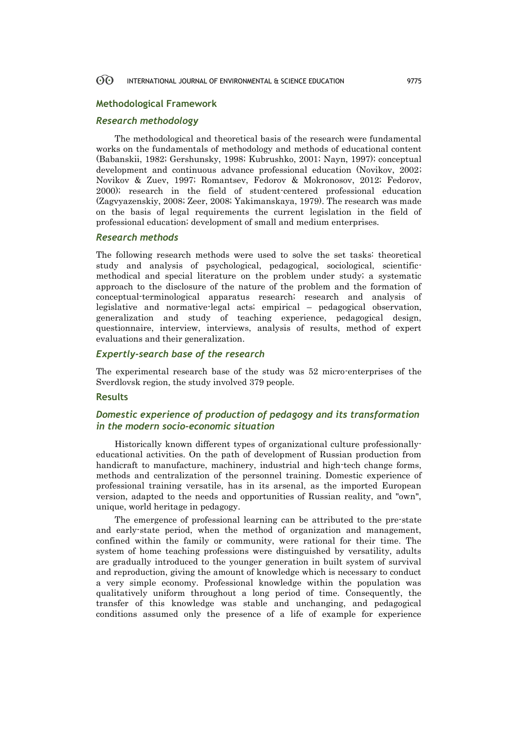### 60 INTERNATIONAL JOURNAL OF ENVIRONMENTAL & SCIENCE EDUCATION 9775

## **Methodological Framework**

# *Research methodology*

The methodological and theoretical basis of the research were fundamental works on the fundamentals of methodology and methods of educational content (Babanskii, 1982; Gershunsky, 1998; Kubrushko, 2001; Nayn, 1997); conceptual development and continuous advance professional education (Novikov, 2002; Novikov & Zuev, 1997; Romantsev, Fedorov & Mokronosov, 2012; Fedorov, 2000); research in the field of student-centered professional education (Zagvyazenskiy, 2008; Zeer, 2008; Yakimanskaya, 1979). The research was made on the basis of legal requirements the current legislation in the field of professional education; development of small and medium enterprises.

## *Research methods*

The following research methods were used to solve the set tasks: theoretical study and analysis of psychological, pedagogical, sociological, scientificmethodical and special literature on the problem under study; a systematic approach to the disclosure of the nature of the problem and the formation of conceptual-terminological apparatus research; research and analysis of legislative and normative-legal acts; empirical – pedagogical observation, generalization and study of teaching experience, pedagogical design, questionnaire, interview, interviews, analysis of results, method of expert evaluations and their generalization.

# *Expertly-search base of the research*

The experimental research base of the study was 52 micro-enterprises of the Sverdlovsk region, the study involved 379 people.

# **Results**

# *Domestic experience of production of pedagogy and its transformation in the modern socio-economic situation*

Historically known different types of organizational culture professionallyeducational activities. On the path of development of Russian production from handicraft to manufacture, machinery, industrial and high-tech change forms, methods and centralization of the personnel training. Domestic experience of professional training versatile, has in its arsenal, as the imported European version, adapted to the needs and opportunities of Russian reality, and "own", unique, world heritage in pedagogy.

The emergence of professional learning can be attributed to the pre-state and early-state period, when the method of organization and management, confined within the family or community, were rational for their time. The system of home teaching professions were distinguished by versatility, adults are gradually introduced to the younger generation in built system of survival and reproduction, giving the amount of knowledge which is necessary to conduct a very simple economy. Professional knowledge within the population was qualitatively uniform throughout a long period of time. Consequently, the transfer of this knowledge was stable and unchanging, and pedagogical conditions assumed only the presence of a life of example for experience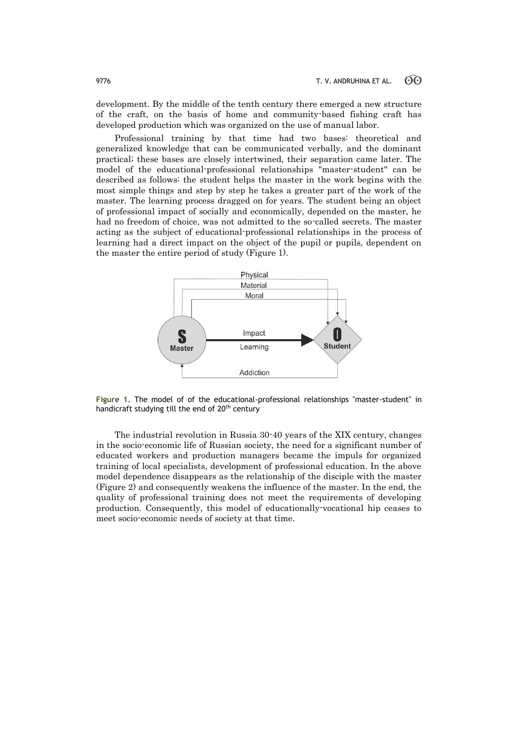development. By the middle of the tenth century there emerged a new structure of the craft, on the basis of home and community-based fishing craft has developed production which was organized on the use of manual labor.

Professional training by that time had two bases: theoretical and generalized knowledge that can be communicated verbally, and the dominant practical; these bases are closely intertwined, their separation came later. The model of the educational-professional relationships "master-student" can be described as follows: the student helps the master in the work begins with the most simple things and step by step he takes a greater part of the work of the master. The learning process dragged on for years. The student being an object of professional impact of socially and economically, depended on the master, he had no freedom of choice, was not admitted to the so-called secrets. The master acting as the subject of educational-professional relationships in the process of learning had a direct impact on the object of the pupil or pupils, dependent on the master the entire period of study (Figure 1).



**Figure 1.** The model of of the educational-professional relationships "master-student" in handicraft studying till the end of 20<sup>th</sup> century

The industrial revolution in Russia 30-40 years of the XIX century, changes in the socio-economic life of Russian society, the need for a significant number of educated workers and production managers became the impuls for organized training of local specialists, development of professional education. In the above model dependence disappears as the relationship of the disciple with the master (Figure 2) and consequently weakens the influence of the master. In the end, the quality of professional training does not meet the requirements of developing production. Consequently, this model of educationally-vocational hip ceases to meet socio-economic needs of society at that time.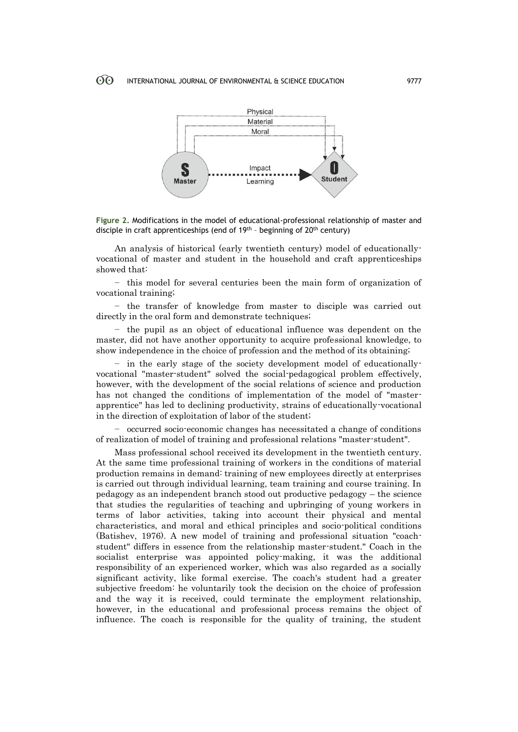

**Figure 2.** Modifications in the model of educational-professional relationship of master and disciple in craft apprenticeships (end of 19<sup>th</sup> - beginning of 20<sup>th</sup> century)

An analysis of historical (early twentieth century) model of educationallyvocational of master and student in the household and craft apprenticeships showed that:

− this model for several centuries been the main form of organization of vocational training;

− the transfer of knowledge from master to disciple was carried out directly in the oral form and demonstrate techniques;

− the pupil as an object of educational influence was dependent on the master, did not have another opportunity to acquire professional knowledge, to show independence in the choice of profession and the method of its obtaining;

− in the early stage of the society development model of educationallyvocational "master-student" solved the social-pedagogical problem effectively, however, with the development of the social relations of science and production has not changed the conditions of implementation of the model of "masterapprentice" has led to declining productivity, strains of educationally-vocational in the direction of exploitation of labor of the student;

− occurred socio-economic changes has necessitated a change of conditions of realization of model of training and professional relations "master-student".

Mass professional school received its development in the twentieth century. At the same time professional training of workers in the conditions of material production remains in demand: training of new employees directly at enterprises is carried out through individual learning, team training and course training. In pedagogy as an independent branch stood out productive pedagogy – the science that studies the regularities of teaching and upbringing of young workers in terms of labor activities, taking into account their physical and mental characteristics, and moral and ethical principles and socio-political conditions (Batishev, 1976). A new model of training and professional situation "coachstudent" differs in essence from the relationship master-student." Coach in the socialist enterprise was appointed policy-making, it was the additional responsibility of an experienced worker, which was also regarded as a socially significant activity, like formal exercise. The coach's student had a greater subjective freedom: he voluntarily took the decision on the choice of profession and the way it is received, could terminate the employment relationship, however, in the educational and professional process remains the object of influence. The coach is responsible for the quality of training, the student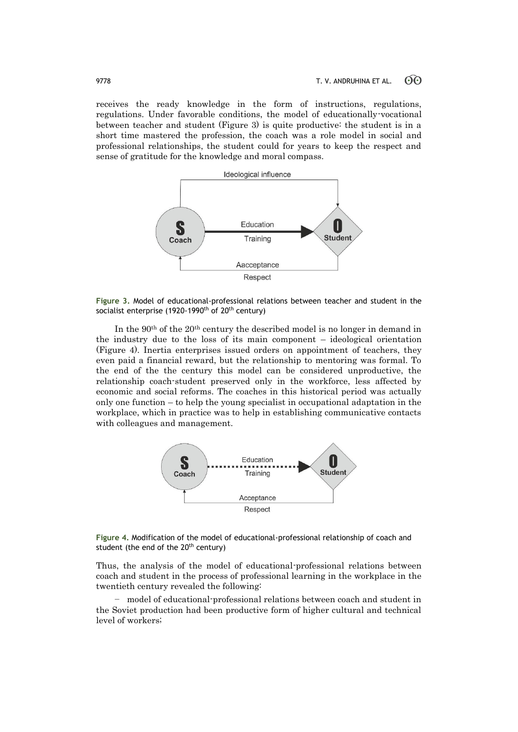receives the ready knowledge in the form of instructions, regulations, regulations. Under favorable conditions, the model of educationally-vocational between teacher and student (Figure 3) is quite productive: the student is in a short time mastered the profession, the coach was a role model in social and professional relationships, the student could for years to keep the respect and sense of gratitude for the knowledge and moral compass.



**Figure 3.** Model of educational-professional relations between teacher and student in the socialist enterprise (1920-1990<sup>th</sup> of 20<sup>th</sup> century)

In the 90th of the 20th century the described model is no longer in demand in the industry due to the loss of its main component – ideological orientation (Figure 4). Inertia enterprises issued orders on appointment of teachers, they even paid a financial reward, but the relationship to mentoring was formal. To the end of the the century this model can be considered unproductive, the relationship coach-student preserved only in the workforce, less affected by economic and social reforms. The coaches in this historical period was actually only one function – to help the young specialist in occupational adaptation in the workplace, which in practice was to help in establishing communicative contacts with colleagues and management.



**Figure 4.** Modification of the model of educational-professional relationship of coach and student (the end of the 20<sup>th</sup> century)

Thus, the analysis of the model of educational-professional relations between coach and student in the process of professional learning in the workplace in the twentieth century revealed the following:

− model of educational-professional relations between coach and student in the Soviet production had been productive form of higher cultural and technical level of workers;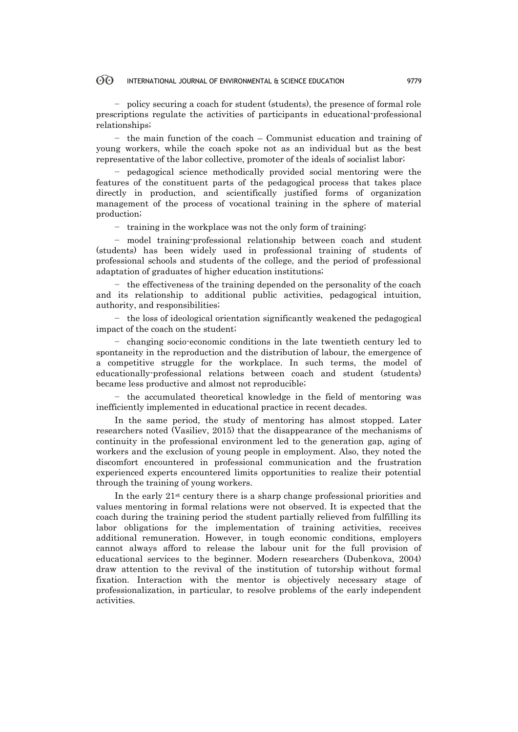### $\odot$ INTERNATIONAL JOURNAL OF ENVIRONMENTAL & SCIENCE EDUCATION 9779

− policy securing a coach for student (students), the presence of formal role prescriptions regulate the activities of participants in educational-professional relationships;

− the main function of the coach – Communist education and training of young workers, while the coach spoke not as an individual but as the best representative of the labor collective, promoter of the ideals of socialist labor;

− pedagogical science methodically provided social mentoring were the features of the constituent parts of the pedagogical process that takes place directly in production, and scientifically justified forms of organization management of the process of vocational training in the sphere of material production;

− training in the workplace was not the only form of training;

− model training-professional relationship between coach and student (students) has been widely used in professional training of students of professional schools and students of the college, and the period of professional adaptation of graduates of higher education institutions;

− the effectiveness of the training depended on the personality of the coach and its relationship to additional public activities, pedagogical intuition, authority, and responsibilities;

− the loss of ideological orientation significantly weakened the pedagogical impact of the coach on the student;

− changing socio-economic conditions in the late twentieth century led to spontaneity in the reproduction and the distribution of labour, the emergence of a competitive struggle for the workplace. In such terms, the model of educationally-professional relations between coach and student (students) became less productive and almost not reproducible;

− the accumulated theoretical knowledge in the field of mentoring was inefficiently implemented in educational practice in recent decades.

In the same period, the study of mentoring has almost stopped. Later researchers noted (Vasiliev, 2015) that the disappearance of the mechanisms of continuity in the professional environment led to the generation gap, aging of workers and the exclusion of young people in employment. Also, they noted the discomfort encountered in professional communication and the frustration experienced experts encountered limits opportunities to realize their potential through the training of young workers.

In the early 21st century there is a sharp change professional priorities and values mentoring in formal relations were not observed. It is expected that the coach during the training period the student partially relieved from fulfilling its labor obligations for the implementation of training activities, receives additional remuneration. However, in tough economic conditions, employers cannot always afford to release the labour unit for the full provision of educational services to the beginner. Modern researchers (Dubenkova, 2004) draw attention to the revival of the institution of tutorship without formal fixation. Interaction with the mentor is objectively necessary stage of professionalization, in particular, to resolve problems of the early independent activities.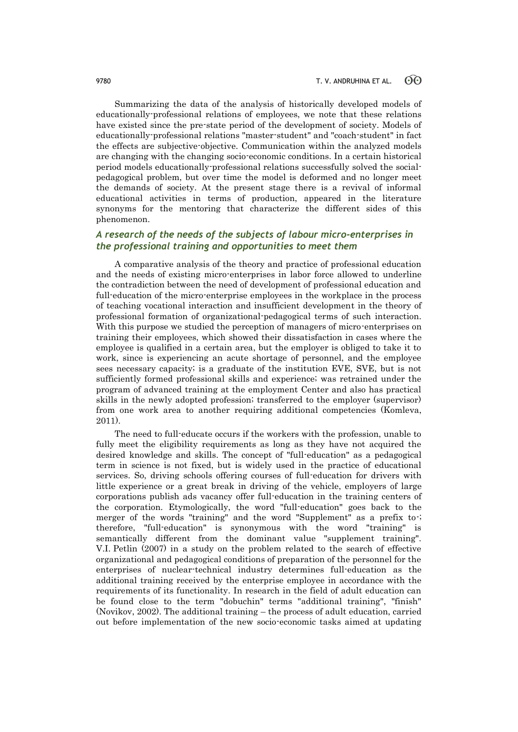Summarizing the data of the analysis of historically developed models of educationally-professional relations of employees, we note that these relations have existed since the pre-state period of the development of society. Models of educationally-professional relations "master-student" and "coach-student" in fact the effects are subjective-objective. Communication within the analyzed models are changing with the changing socio-economic conditions. In a certain historical period models educationally-professional relations successfully solved the socialpedagogical problem, but over time the model is deformed and no longer meet the demands of society. At the present stage there is a revival of informal educational activities in terms of production, appeared in the literature synonyms for the mentoring that characterize the different sides of this phenomenon.

# *A research of the needs of the subjects of labour micro-enterprises in the professional training and opportunities to meet them*

A comparative analysis of the theory and practice of professional education and the needs of existing micro-enterprises in labor force allowed to underline the contradiction between the need of development of professional education and full-education of the micro-enterprise employees in the workplace in the process of teaching vocational interaction and insufficient development in the theory of professional formation of organizational-pedagogical terms of such interaction. With this purpose we studied the perception of managers of micro-enterprises on training their employees, which showed their dissatisfaction in cases where the employee is qualified in a certain area, but the employer is obliged to take it to work, since is experiencing an acute shortage of personnel, and the employee sees necessary capacity; is a graduate of the institution EVE, SVE, but is not sufficiently formed professional skills and experience; was retrained under the program of advanced training at the employment Center and also has practical skills in the newly adopted profession; transferred to the employer (supervisor) from one work area to another requiring additional competencies (Komleva, 2011).

The need to full-educate occurs if the workers with the profession, unable to fully meet the eligibility requirements as long as they have not acquired the desired knowledge and skills. The concept of "full-education" as a pedagogical term in science is not fixed, but is widely used in the practice of educational services. So, driving schools offering courses of full-education for drivers with little experience or a great break in driving of the vehicle, employers of large corporations publish ads vacancy offer full-education in the training centers of the corporation. Etymologically, the word "full-education" goes back to the merger of the words "training" and the word "Supplement" as a prefix to-; therefore, "full-education" is synonymous with the word "training" is semantically different from the dominant value "supplement training". V.I. Petlin (2007) in a study on the problem related to the search of effective organizational and pedagogical conditions of preparation of the personnel for the enterprises of nuclear-technical industry determines full-education as the additional training received by the enterprise employee in accordance with the requirements of its functionality. In research in the field of adult education can be found close to the term "dobuchin" terms "additional training", "finish" (Novikov, 2002). The additional training – the process of adult education, carried out before implementation of the new socio-economic tasks aimed at updating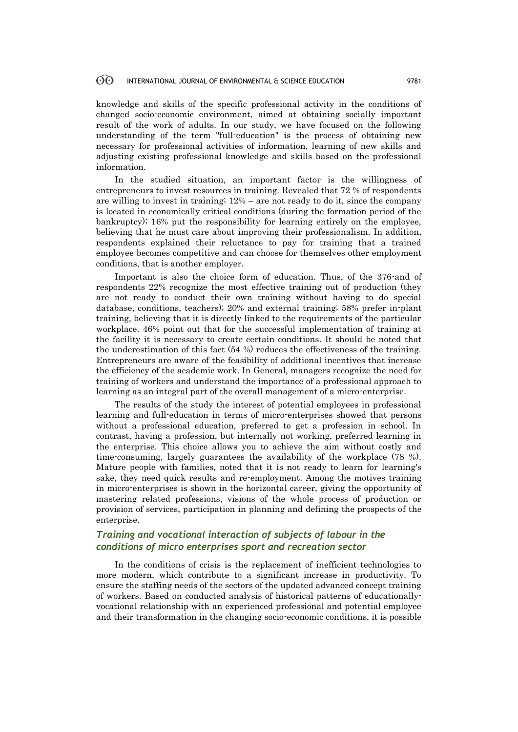### 60 INTERNATIONAL JOURNAL OF ENVIRONMENTAL & SCIENCE EDUCATION 9781

knowledge and skills of the specific professional activity in the conditions of changed socio-economic environment, aimed at obtaining socially important result of the work of adults. In our study, we have focused on the following understanding of the term "full-education" is the process of obtaining new necessary for professional activities of information, learning of new skills and adjusting existing professional knowledge and skills based on the professional information.

In the studied situation, an important factor is the willingness of entrepreneurs to invest resources in training. Revealed that 72 % of respondents are willing to invest in training; 12% – are not ready to do it, since the company is located in economically critical conditions (during the formation period of the bankruptcy); 16% put the responsibility for learning entirely on the employee, believing that he must care about improving their professionalism. In addition, respondents explained their reluctance to pay for training that a trained employee becomes competitive and can choose for themselves other employment conditions, that is another employer.

Important is also the choice form of education. Thus, of the 376-and of respondents 22% recognize the most effective training out of production (they are not ready to conduct their own training without having to do special database, conditions, teachers); 20% and external training; 58% prefer in-plant training, believing that it is directly linked to the requirements of the particular workplace. 46% point out that for the successful implementation of training at the facility it is necessary to create certain conditions. It should be noted that the underestimation of this fact (54 %) reduces the effectiveness of the training. Entrepreneurs are aware of the feasibility of additional incentives that increase the efficiency of the academic work. In General, managers recognize the need for training of workers and understand the importance of a professional approach to learning as an integral part of the overall management of a micro-enterprise.

The results of the study the interest of potential employees in professional learning and full-education in terms of micro-enterprises showed that persons without a professional education, preferred to get a profession in school. In contrast, having a profession, but internally not working, preferred learning in the enterprise. This choice allows you to achieve the aim without costly and time-consuming, largely guarantees the availability of the workplace (78 %). Mature people with families, noted that it is not ready to learn for learning's sake, they need quick results and re-employment. Among the motives training in micro-enterprises is shown in the horizontal career, giving the opportunity of mastering related professions, visions of the whole process of production or provision of services, participation in planning and defining the prospects of the enterprise.

# *Training and vocational interaction of subjects of labour in the conditions of micro enterprises sport and recreation sector*

In the conditions of crisis is the replacement of inefficient technologies to more modern, which contribute to a significant increase in productivity. To ensure the staffing needs of the sectors of the updated advanced concept training of workers. Based on conducted analysis of historical patterns of educationallyvocational relationship with an experienced professional and potential employee and their transformation in the changing socio-economic conditions, it is possible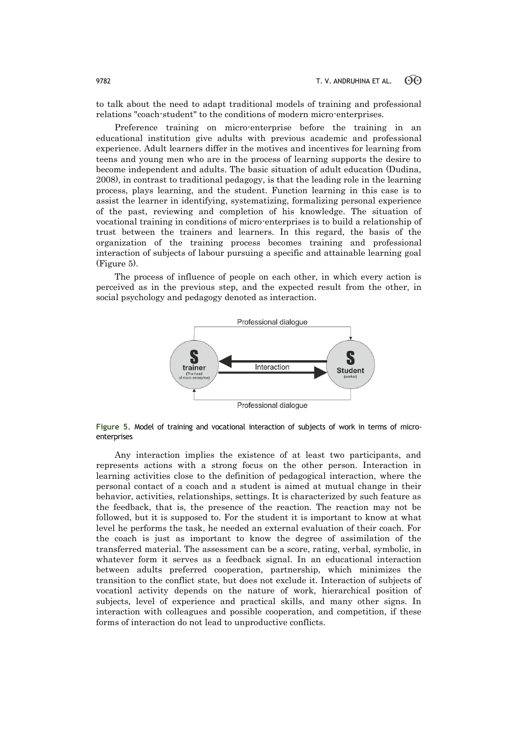to talk about the need to adapt traditional models of training and professional relations "coach-student" to the conditions of modern micro-enterprises.

Preference training on micro-enterprise before the training in an educational institution give adults with previous academic and professional experience. Adult learners differ in the motives and incentives for learning from teens and young men who are in the process of learning supports the desire to become independent and adults. The basic situation of adult education (Dudina, 2008), in contrast to traditional pedagogy, is that the leading role in the learning process, plays learning, and the student. Function learning in this case is to assist the learner in identifying, systematizing, formalizing personal experience of the past, reviewing and completion of his knowledge. The situation of vocational training in conditions of micro-enterprises is to build a relationship of trust between the trainers and learners. In this regard, the basis of the organization of the training process becomes training and professional interaction of subjects of labour pursuing a specific and attainable learning goal (Figure 5).

The process of influence of people on each other, in which every action is perceived as in the previous step, and the expected result from the other, in social psychology and pedagogy denoted as interaction.



**Figure 5.** Model of training and vocational interaction of subjects of work in terms of microenterprises

Any interaction implies the existence of at least two participants, and represents actions with a strong focus on the other person. Interaction in learning activities close to the definition of pedagogical interaction, where the personal contact of a coach and a student is aimed at mutual change in their behavior, activities, relationships, settings. It is characterized by such feature as the feedback, that is, the presence of the reaction. The reaction may not be followed, but it is supposed to. For the student it is important to know at what level he performs the task, he needed an external evaluation of their coach. For the coach is just as important to know the degree of assimilation of the transferred material. The assessment can be a score, rating, verbal, symbolic, in whatever form it serves as a feedback signal. In an educational interaction between adults preferred cooperation, partnership, which minimizes the transition to the conflict state, but does not exclude it. Interaction of subjects of vocationl activity depends on the nature of work, hierarchical position of subjects, level of experience and practical skills, and many other signs. In interaction with colleagues and possible cooperation, and competition, if these forms of interaction do not lead to unproductive conflicts.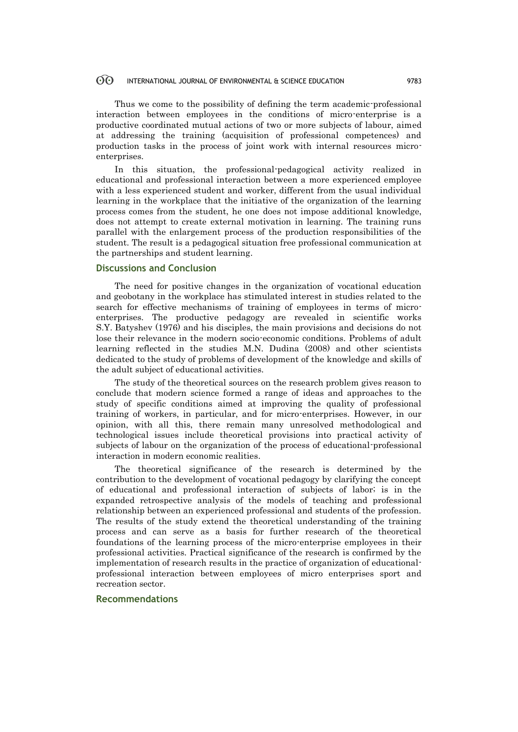### $\odot$ INTERNATIONAL JOURNAL OF ENVIRONMENTAL & SCIENCE EDUCATION 9783

Thus we come to the possibility of defining the term academic-professional interaction between employees in the conditions of micro-enterprise is a productive coordinated mutual actions of two or more subjects of labour, aimed at addressing the training (acquisition of professional competences) and production tasks in the process of joint work with internal resources microenterprises.

In this situation, the professional-pedagogical activity realized in educational and professional interaction between a more experienced employee with a less experienced student and worker, different from the usual individual learning in the workplace that the initiative of the organization of the learning process comes from the student, he one does not impose additional knowledge, does not attempt to create external motivation in learning. The training runs parallel with the enlargement process of the production responsibilities of the student. The result is a pedagogical situation free professional communication at the partnerships and student learning.

# **Discussions and Conclusion**

The need for positive changes in the organization of vocational education and geobotany in the workplace has stimulated interest in studies related to the search for effective mechanisms of training of employees in terms of microenterprises. The productive pedagogy are revealed in scientific works S.Y. Batyshev (1976) and his disciples, the main provisions and decisions do not lose their relevance in the modern socio-economic conditions. Problems of adult learning reflected in the studies M.N. Dudina (2008) and other scientists dedicated to the study of problems of development of the knowledge and skills of the adult subject of educational activities.

The study of the theoretical sources on the research problem gives reason to conclude that modern science formed a range of ideas and approaches to the study of specific conditions aimed at improving the quality of professional training of workers, in particular, and for micro-enterprises. However, in our opinion, with all this, there remain many unresolved methodological and technological issues include theoretical provisions into practical activity of subjects of labour on the organization of the process of educational-professional interaction in modern economic realities.

The theoretical significance of the research is determined by the contribution to the development of vocational pedagogy by clarifying the concept of educational and professional interaction of subjects of labor; is in the expanded retrospective analysis of the models of teaching and professional relationship between an experienced professional and students of the profession. The results of the study extend the theoretical understanding of the training process and can serve as a basis for further research of the theoretical foundations of the learning process of the micro-enterprise employees in their professional activities. Practical significance of the research is confirmed by the implementation of research results in the practice of organization of educationalprofessional interaction between employees of micro enterprises sport and recreation sector.

# **Recommendations**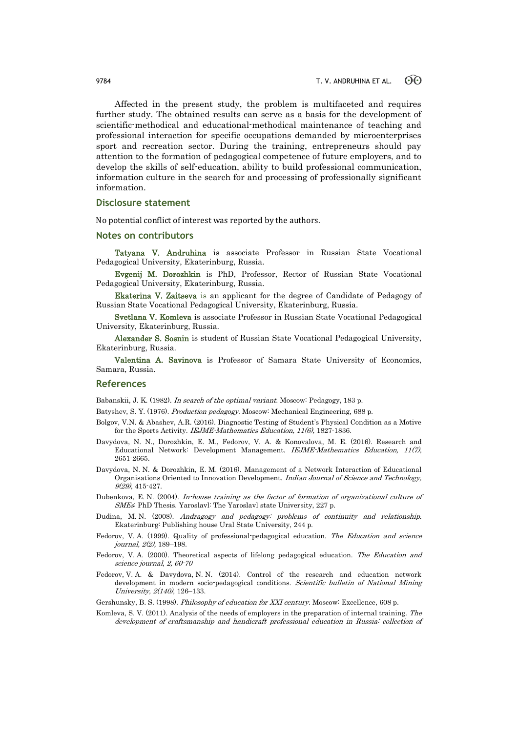Affected in the present study, the problem is multifaceted and requires further study. The obtained results can serve as a basis for the development of scientific-methodical and educational-methodical maintenance of teaching and professional interaction for specific occupations demanded by microenterprises sport and recreation sector. During the training, entrepreneurs should pay attention to the formation of pedagogical competence of future employers, and to develop the skills of self-education, ability to build professional communication, information culture in the search for and processing of professionally significant information.

## **Disclosure statement**

No potential conflict of interest was reported by the authors.

## **Notes on contributors**

Tatyana V. Andruhina is associate Professor in Russian State Vocational Pedagogical University, Ekaterinburg, Russia.

Evgenij M. Dorozhkin is PhD, Professor, Rector of Russian State Vocational Pedagogical University, Ekaterinburg, Russia.

Ekaterina V. Zaitseva is an applicant for the degree of Candidate of Pedagogy of Russian State Vocational Pedagogical University, Ekaterinburg, Russia.

Svetlana V. Komleva is associate Professor in Russian State Vocational Pedagogical University, Ekaterinburg, Russia.

Alexander S. Sosnin is student of Russian State Vocational Pedagogical University, Ekaterinburg, Russia.

Valentina A. Savinova is Professor of Samara State University of Economics, Samara, Russia.

## **References**

Babanskii, J. K. (1982). *In search of the optimal variant*. Moscow: Pedagogy, 183 p.

Batyshev, S. Y. (1976). *Production pedagogy*. Moscow: Mechanical Engineering, 688 p.

- Bolgov, V.N. & Abashev, A.R. (2016). Diagnostic Testing of Student's Physical Condition as a Motive for the Sports Activity. IEJME-Mathematics Education, 11(6), 1827-1836.
- Davydova, N. N., Dorozhkin, E. M., Fedorov, V. A. & Konovalova, M. E. (2016). Research and Educational Network: Development Management. IEJME-Mathematics Education, 11(7), 2651-2665.
- Davydova, N. N. & Dorozhkin, E. M. (2016). Management of a Network Interaction of Educational Organisations Oriented to Innovation Development. Indian Journal of Science and Technology, 9(29), 415-427.
- Dubenkova, E. N. (2004). In-house training as the factor of formation of organizational culture of SMEs: PhD Thesis. Yaroslavl: The Yaroslavl state University, 227 p.
- Dudina, M. N. (2008). Andragogy and pedagogy: problems of continuity and relationship. Ekaterinburg: Publishing house Ural State University, 244 p.
- Fedorov, V. A. (1999). Quality of professional-pedagogical education. The Education and science journal, 2(2), 189–198.
- Fedorov, V. A. (2000). Theoretical aspects of lifelong pedagogical education. The Education and science journal, 2, 60-70
- Fedorov, V. A. & Davydova, N. N. (2014). Control of the research and education network development in modern socio-pedagogical conditions. Scientific bulletin of National Mining University, 2(140), 126–133.
- Gershunsky, B. S. (1998). Philosophy of education for XXI century. Moscow: Excellence, 608 p.
- Komleva, S. V. (2011). Analysis of the needs of employers in the preparation of internal training. The development of craftsmanship and handicraft professional education in Russia: collection of